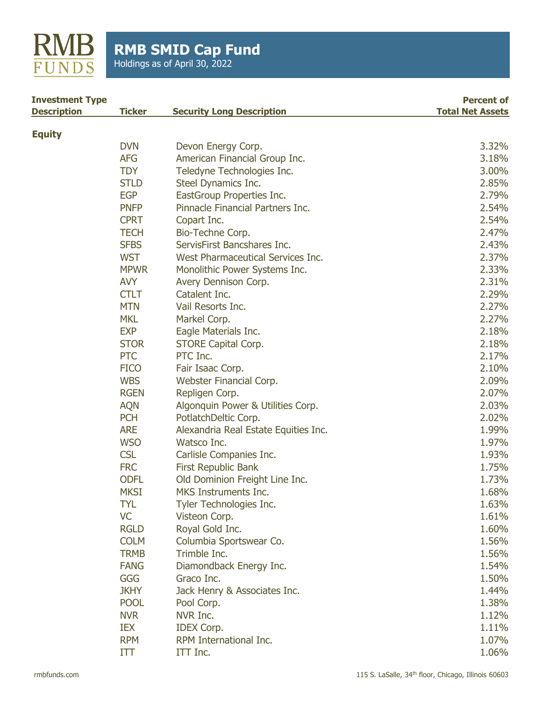

Holdings as of April 30, 2022

| <b>Investment Type</b> |               |                                      | <b>Percent of</b>       |
|------------------------|---------------|--------------------------------------|-------------------------|
| <b>Description</b>     | <b>Ticker</b> | <b>Security Long Description</b>     | <b>Total Net Assets</b> |
| <b>Equity</b>          |               |                                      |                         |
|                        | <b>DVN</b>    | Devon Energy Corp.                   | 3.32%                   |
|                        | <b>AFG</b>    | American Financial Group Inc.        | 3.18%                   |
|                        | <b>TDY</b>    | Teledyne Technologies Inc.           | 3.00%                   |
|                        | <b>STLD</b>   | Steel Dynamics Inc.                  | 2.85%                   |
|                        | <b>EGP</b>    | EastGroup Properties Inc.            | 2.79%                   |
|                        | <b>PNFP</b>   | Pinnacle Financial Partners Inc.     | 2.54%                   |
|                        | <b>CPRT</b>   | Copart Inc.                          | 2.54%                   |
|                        | <b>TECH</b>   | Bio-Techne Corp.                     | 2.47%                   |
|                        | <b>SFBS</b>   | ServisFirst Bancshares Inc.          | 2.43%                   |
|                        | <b>WST</b>    | West Pharmaceutical Services Inc.    | 2.37%                   |
|                        | <b>MPWR</b>   | Monolithic Power Systems Inc.        | 2.33%                   |
|                        | <b>AVY</b>    | Avery Dennison Corp.                 | 2.31%                   |
|                        | <b>CTLT</b>   | Catalent Inc.                        | 2.29%                   |
|                        | <b>MTN</b>    | Vail Resorts Inc.                    | 2.27%                   |
|                        | <b>MKL</b>    | Markel Corp.                         | 2.27%                   |
|                        | <b>EXP</b>    | Eagle Materials Inc.                 | 2.18%                   |
|                        | <b>STOR</b>   | <b>STORE Capital Corp.</b>           | 2.18%                   |
|                        | <b>PTC</b>    | PTC Inc.                             | 2.17%                   |
|                        | <b>FICO</b>   | Fair Isaac Corp.                     | 2.10%                   |
|                        | <b>WBS</b>    | Webster Financial Corp.              | 2.09%                   |
|                        | <b>RGEN</b>   | Repligen Corp.                       | 2.07%                   |
|                        | <b>AQN</b>    | Algonquin Power & Utilities Corp.    | 2.03%                   |
|                        | <b>PCH</b>    | PotlatchDeltic Corp.                 | 2.02%                   |
|                        | <b>ARE</b>    | Alexandria Real Estate Equities Inc. | 1.99%                   |
|                        | <b>WSO</b>    | Watsco Inc.                          | 1.97%                   |
|                        | <b>CSL</b>    | Carlisle Companies Inc.              | 1.93%                   |
|                        | <b>FRC</b>    | <b>First Republic Bank</b>           | 1.75%                   |
|                        | <b>ODFL</b>   | Old Dominion Freight Line Inc.       | 1.73%                   |
|                        | <b>MKSI</b>   | MKS Instruments Inc.                 | 1.68%                   |
|                        | <b>TYL</b>    | Tyler Technologies Inc.              | 1.63%                   |
|                        | <b>VC</b>     | Visteon Corp.                        | 1.61%                   |
|                        | <b>RGLD</b>   | Royal Gold Inc.                      | 1.60%                   |
|                        | <b>COLM</b>   | Columbia Sportswear Co.              | 1.56%                   |
|                        | <b>TRMB</b>   | Trimble Inc.                         | 1.56%                   |
|                        | <b>FANG</b>   | Diamondback Energy Inc.              | 1.54%                   |
|                        | GGG           | Graco Inc.                           | 1.50%                   |
|                        | <b>JKHY</b>   | Jack Henry & Associates Inc.         | 1.44%                   |
|                        | <b>POOL</b>   | Pool Corp.                           | 1.38%                   |
|                        | <b>NVR</b>    | NVR Inc.                             | 1.12%                   |
|                        | IEX           | <b>IDEX Corp.</b>                    | 1.11%                   |
|                        | <b>RPM</b>    | RPM International Inc.               | 1.07%                   |
|                        | ITT           | ITT Inc.                             | 1.06%                   |